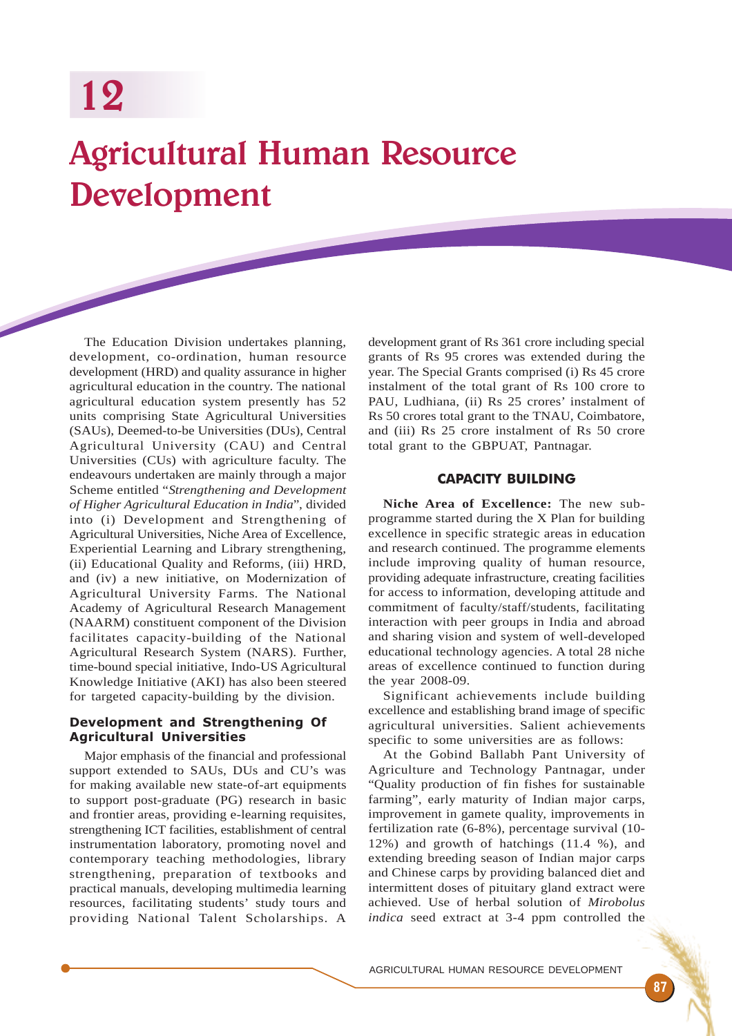# Agricultural Human Resource Development

The Education Division undertakes planning, development, co-ordination, human resource development (HRD) and quality assurance in higher agricultural education in the country. The national agricultural education system presently has 52 units comprising State Agricultural Universities (SAUs), Deemed-to-be Universities (DUs), Central Agricultural University (CAU) and Central Universities (CUs) with agriculture faculty. The endeavours undertaken are mainly through a major Scheme entitled "*Strengthening and Development of Higher Agricultural Education in India*", divided into (i) Development and Strengthening of Agricultural Universities, Niche Area of Excellence, Experiential Learning and Library strengthening, (ii) Educational Quality and Reforms*,* (iii) HRD, and (iv) a new initiative, on Modernization of Agricultural University Farms*.* The National Academy of Agricultural Research Management (NAARM) constituent component of the Division facilitates capacity-building of the National Agricultural Research System (NARS). Further, time-bound special initiative, Indo-US Agricultural Knowledge Initiative (AKI) has also been steered for targeted capacity-building by the division.

# Development and Strengthening Of Agricultural Universities

Major emphasis of the financial and professional support extended to SAUs, DUs and CU's was for making available new state-of-art equipments to support post-graduate (PG) research in basic and frontier areas, providing e-learning requisites, strengthening ICT facilities, establishment of central instrumentation laboratory, promoting novel and contemporary teaching methodologies, library strengthening, preparation of textbooks and practical manuals, developing multimedia learning resources, facilitating students' study tours and providing National Talent Scholarships. A

development grant of Rs 361 crore including special grants of Rs 95 crores was extended during the year. The Special Grants comprised (i) Rs 45 crore instalment of the total grant of Rs 100 crore to PAU, Ludhiana, (ii) Rs 25 crores' instalment of Rs 50 crores total grant to the TNAU, Coimbatore, and (iii) Rs 25 crore instalment of Rs 50 crore total grant to the GBPUAT, Pantnagar.

# CAPACITY BUILDING

**Niche Area of Excellence:** The new subprogramme started during the X Plan for building excellence in specific strategic areas in education and research continued. The programme elements include improving quality of human resource, providing adequate infrastructure, creating facilities for access to information, developing attitude and commitment of faculty/staff/students, facilitating interaction with peer groups in India and abroad and sharing vision and system of well-developed educational technology agencies. A total 28 niche areas of excellence continued to function during the year 2008-09.

Significant achievements include building excellence and establishing brand image of specific agricultural universities. Salient achievements specific to some universities are as follows:

At the Gobind Ballabh Pant University of Agriculture and Technology Pantnagar, under "Quality production of fin fishes for sustainable farming", early maturity of Indian major carps, improvement in gamete quality, improvements in fertilization rate (6-8%), percentage survival (10- 12%) and growth of hatchings (11.4 %), and extending breeding season of Indian major carps and Chinese carps by providing balanced diet and intermittent doses of pituitary gland extract were achieved. Use of herbal solution of *Mirobolus indica* seed extract at 3-4 ppm controlled the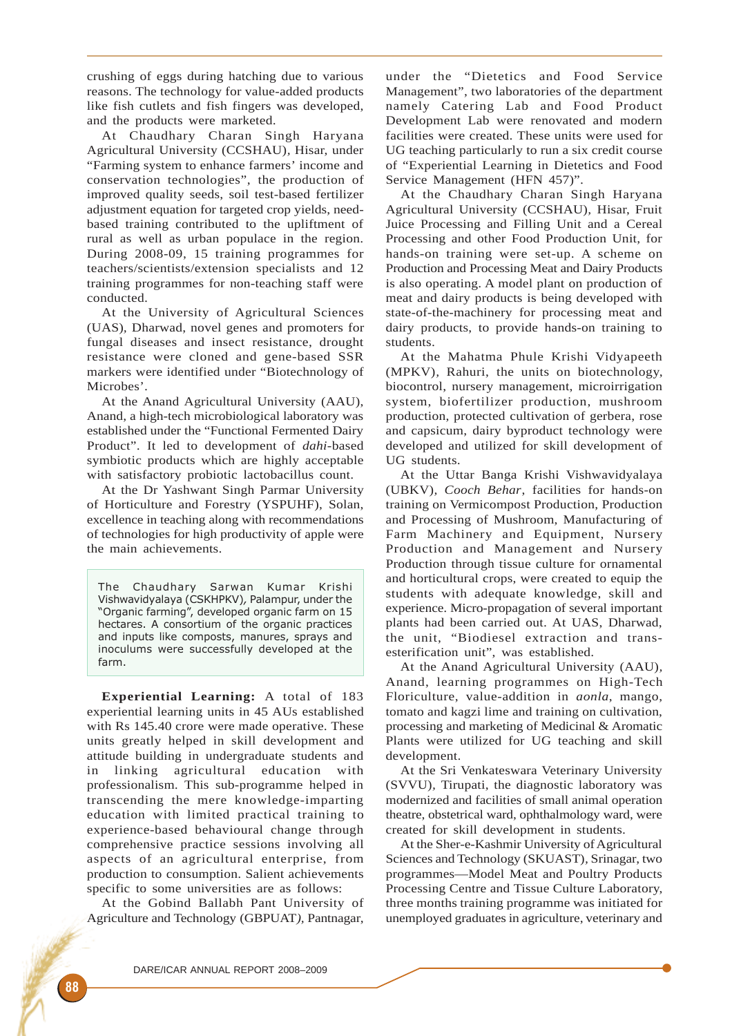crushing of eggs during hatching due to various reasons. The technology for value-added products like fish cutlets and fish fingers was developed, and the products were marketed.

At Chaudhary Charan Singh Haryana Agricultural University (CCSHAU)*,* Hisar, under "Farming system to enhance farmers' income and conservation technologies", the production of improved quality seeds, soil test-based fertilizer adjustment equation for targeted crop yields, needbased training contributed to the upliftment of rural as well as urban populace in the region. During 2008-09, 15 training programmes for teachers/scientists/extension specialists and 12 training programmes for non-teaching staff were conducted.

At the University of Agricultural Sciences (UAS)*,* Dharwad, novel genes and promoters for fungal diseases and insect resistance, drought resistance were cloned and gene-based SSR markers were identified under "Biotechnology of Microbes'.

At the Anand Agricultural University (AAU), Anand, a high-tech microbiological laboratory was established under the "Functional Fermented Dairy Product". It led to development of *dahi*-based symbiotic products which are highly acceptable with satisfactory probiotic lactobacillus count.

At the Dr Yashwant Singh Parmar University of Horticulture and Forestry (YSPUHF), Solan, excellence in teaching along with recommendations of technologies for high productivity of apple were the main achievements.

The Chaudhary Sarwan Kumar Krishi Vishwavidyalaya (CSKHPKV), Palampur, under the "Organic farming", developed organic farm on 15 hectares. A consortium of the organic practices and inputs like composts, manures, sprays and inoculums were successfully developed at the farm.

**Experiential Learning:** A total of 183 experiential learning units in 45 AUs established with Rs 145.40 crore were made operative. These units greatly helped in skill development and attitude building in undergraduate students and in linking agricultural education with professionalism. This sub-programme helped in transcending the mere knowledge-imparting education with limited practical training to experience-based behavioural change through comprehensive practice sessions involving all aspects of an agricultural enterprise, from production to consumption. Salient achievements specific to some universities are as follows:

At the Gobind Ballabh Pant University of Agriculture and Technology (GBPUAT*),* Pantnagar,

under the "Dietetics and Food Service Management", two laboratories of the department namely Catering Lab and Food Product Development Lab were renovated and modern facilities were created. These units were used for UG teaching particularly to run a six credit course of "Experiential Learning in Dietetics and Food Service Management (HFN 457)".

At the Chaudhary Charan Singh Haryana Agricultural University (CCSHAU)*,* Hisar, Fruit Juice Processing and Filling Unit and a Cereal Processing and other Food Production Unit, for hands-on training were set-up. A scheme on Production and Processing Meat and Dairy Products is also operating. A model plant on production of meat and dairy products is being developed with state-of-the-machinery for processing meat and dairy products, to provide hands-on training to students.

At the Mahatma Phule Krishi Vidyapeeth (MPKV)*,* Rahuri, the units on biotechnology, biocontrol, nursery management, microirrigation system, biofertilizer production, mushroom production, protected cultivation of gerbera, rose and capsicum, dairy byproduct technology were developed and utilized for skill development of UG students.

At the Uttar Banga Krishi Vishwavidyalaya (UBKV)*, Cooch Behar*, facilities for hands-on training on Vermicompost Production, Production and Processing of Mushroom, Manufacturing of Farm Machinery and Equipment, Nursery Production and Management and Nursery Production through tissue culture for ornamental and horticultural crops, were created to equip the students with adequate knowledge, skill and experience. Micro-propagation of several important plants had been carried out. At UAS, Dharwad, the unit, "Biodiesel extraction and transesterification unit", was established.

At the Anand Agricultural University (AAU)*,* Anand, learning programmes on High-Tech Floriculture, value-addition in *aonla*, mango, tomato and kagzi lime and training on cultivation, processing and marketing of Medicinal & Aromatic Plants were utilized for UG teaching and skill development.

At the Sri Venkateswara Veterinary University (SVVU)*,* Tirupati, the diagnostic laboratory was modernized and facilities of small animal operation theatre, obstetrical ward, ophthalmology ward, were created for skill development in students.

At the Sher-e-Kashmir University of Agricultural Sciences and Technology (SKUAST)*,* Srinagar, two programmes—Model Meat and Poultry Products Processing Centre and Tissue Culture Laboratory, three months training programme was initiated for unemployed graduates in agriculture, veterinary and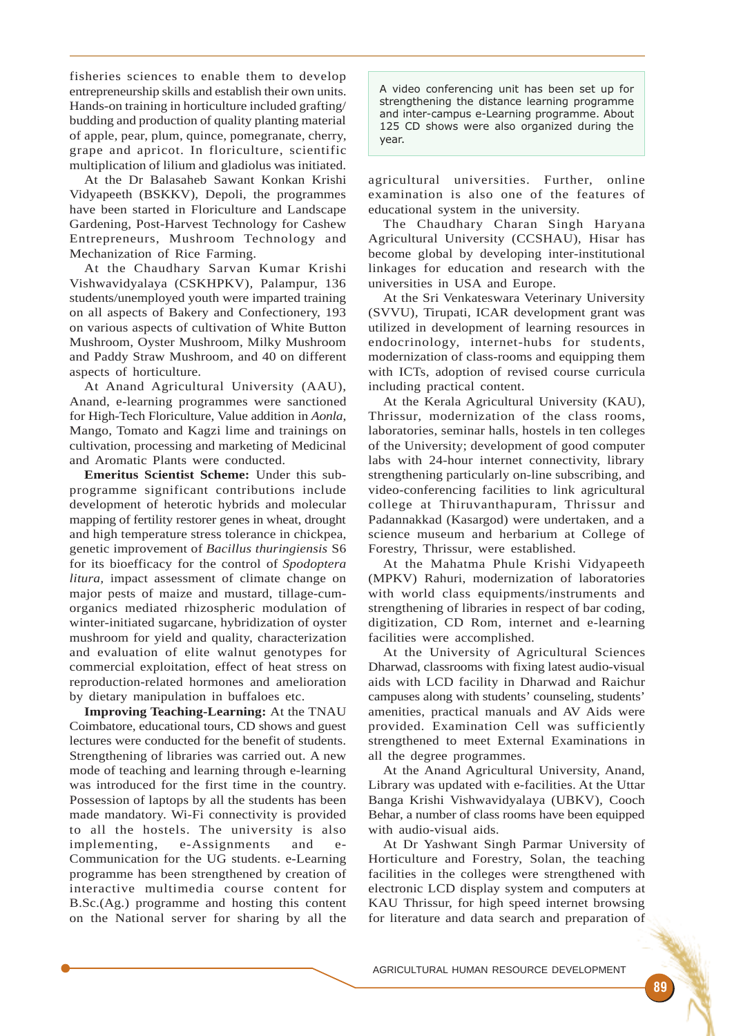fisheries sciences to enable them to develop entrepreneurship skills and establish their own units. Hands-on training in horticulture included grafting/ budding and production of quality planting material of apple, pear, plum, quince, pomegranate, cherry, grape and apricot. In floriculture, scientific multiplication of lilium and gladiolus was initiated.

At the Dr Balasaheb Sawant Konkan Krishi Vidyapeeth (BSKKV)*,* Depoli, the programmes have been started in Floriculture and Landscape Gardening, Post-Harvest Technology for Cashew Entrepreneurs, Mushroom Technology and Mechanization of Rice Farming.

At the Chaudhary Sarvan Kumar Krishi Vishwavidyalaya (CSKHPKV)*,* Palampur, 136 students/unemployed youth were imparted training on all aspects of Bakery and Confectionery, 193 on various aspects of cultivation of White Button Mushroom, Oyster Mushroom, Milky Mushroom and Paddy Straw Mushroom, and 40 on different aspects of horticulture.

At Anand Agricultural University (AAU), Anand, e-learning programmes were sanctioned for High-Tech Floriculture, Value addition in *Aonla*, Mango, Tomato and Kagzi lime and trainings on cultivation, processing and marketing of Medicinal and Aromatic Plants were conducted.

**Emeritus Scientist Scheme:** Under this subprogramme significant contributions include development of heterotic hybrids and molecular mapping of fertility restorer genes in wheat, drought and high temperature stress tolerance in chickpea, genetic improvement of *Bacillus thuringiensis* S6 for its bioefficacy for the control of *Spodoptera litura,* impact assessment of climate change on major pests of maize and mustard, tillage-cumorganics mediated rhizospheric modulation of winter-initiated sugarcane, hybridization of oyster mushroom for yield and quality, characterization and evaluation of elite walnut genotypes for commercial exploitation, effect of heat stress on reproduction-related hormones and amelioration by dietary manipulation in buffaloes etc.

**Improving Teaching-Learning:** At the TNAU Coimbatore, educational tours, CD shows and guest lectures were conducted for the benefit of students. Strengthening of libraries was carried out. A new mode of teaching and learning through e-learning was introduced for the first time in the country. Possession of laptops by all the students has been made mandatory. Wi-Fi connectivity is provided to all the hostels. The university is also implementing, e-Assignments and e-Communication for the UG students. e-Learning programme has been strengthened by creation of interactive multimedia course content for B.Sc.(Ag.) programme and hosting this content on the National server for sharing by all the

A video conferencing unit has been set up for strengthening the distance learning programme and inter-campus e-Learning programme. About 125 CD shows were also organized during the year.

agricultural universities. Further, online examination is also one of the features of educational system in the university.

The Chaudhary Charan Singh Haryana Agricultural University (CCSHAU)*,* Hisar has become global by developing inter-institutional linkages for education and research with the universities in USA and Europe.

At the Sri Venkateswara Veterinary University (SVVU)*,* Tirupati, ICAR development grant was utilized in development of learning resources in endocrinology, internet-hubs for students, modernization of class-rooms and equipping them with ICTs, adoption of revised course curricula including practical content.

At the Kerala Agricultural University (KAU)*,* Thrissur, modernization of the class rooms, laboratories, seminar halls, hostels in ten colleges of the University; development of good computer labs with 24-hour internet connectivity, library strengthening particularly on-line subscribing, and video-conferencing facilities to link agricultural college at Thiruvanthapuram, Thrissur and Padannakkad (Kasargod) were undertaken, and a science museum and herbarium at College of Forestry, Thrissur, were established.

At the Mahatma Phule Krishi Vidyapeeth (MPKV) Rahuri, modernization of laboratories with world class equipments/instruments and strengthening of libraries in respect of bar coding, digitization, CD Rom, internet and e-learning facilities were accomplished.

At the University of Agricultural Sciences Dharwad, classrooms with fixing latest audio-visual aids with LCD facility in Dharwad and Raichur campuses along with students' counseling, students' amenities, practical manuals and AV Aids were provided. Examination Cell was sufficiently strengthened to meet External Examinations in all the degree programmes.

At the Anand Agricultural University, Anand, Library was updated with e-facilities. At the Uttar Banga Krishi Vishwavidyalaya (UBKV)*,* Cooch Behar, a number of class rooms have been equipped with audio-visual aids.

At Dr Yashwant Singh Parmar University of Horticulture and Forestry, Solan, the teaching facilities in the colleges were strengthened with electronic LCD display system and computers at KAU Thrissur, for high speed internet browsing for literature and data search and preparation of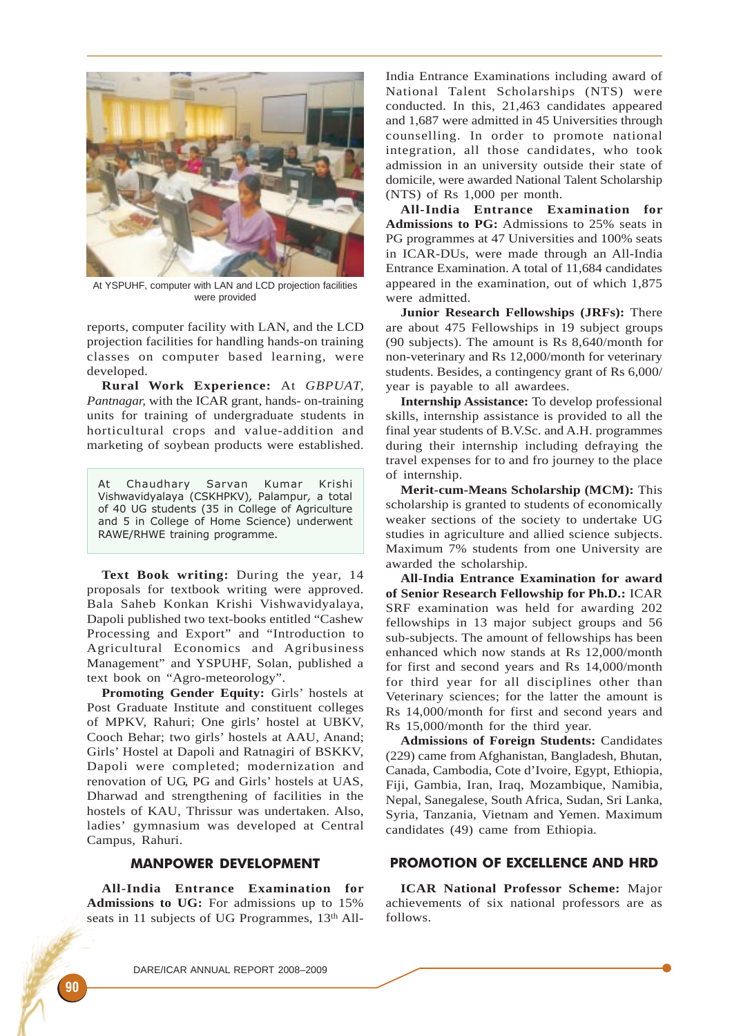

At YSPUHF, computer with LAN and LCD projection facilities were provided

reports, computer facility with LAN, and the LCD projection facilities for handling hands-on training classes on computer based learning, were developed.

**Rural Work Experience:** At *GBPUAT, Pantnagar,* with the ICAR grant, hands- on-training units for training of undergraduate students in horticultural crops and value-addition and marketing of soybean products were established.

At Chaudhary Sarvan Kumar Krishi Vishwavidyalaya (CSKHPKV), Palampur, a total of 40 UG students (35 in College of Agriculture and 5 in College of Home Science) underwent RAWE/RHWE training programme.

**Text Book writing:** During the year, 14 proposals for textbook writing were approved. Bala Saheb Konkan Krishi Vishwavidyalaya, Dapoli published two text-books entitled "Cashew Processing and Export" and "Introduction to Agricultural Economics and Agribusiness Management" and YSPUHF, Solan, published a text book on "Agro-meteorology".

**Promoting Gender Equity:** Girls' hostels at Post Graduate Institute and constituent colleges of MPKV, Rahuri; One girls' hostel at UBKV, Cooch Behar; two girls' hostels at AAU, Anand; Girls' Hostel at Dapoli and Ratnagiri of BSKKV, Dapoli were completed; modernization and renovation of UG, PG and Girls' hostels at UAS, Dharwad and strengthening of facilities in the hostels of KAU, Thrissur was undertaken. Also, ladies' gymnasium was developed at Central Campus, Rahuri.

#### MANPOWER DEVELOPMENT

**All-India Entrance Examination for Admissions to UG:** For admissions up to 15% seats in 11 subjects of UG Programmes, 13<sup>th</sup> AllIndia Entrance Examinations including award of National Talent Scholarships (NTS) were conducted. In this, 21,463 candidates appeared and 1,687 were admitted in 45 Universities through counselling. In order to promote national integration, all those candidates, who took admission in an university outside their state of domicile, were awarded National Talent Scholarship (NTS) of Rs 1,000 per month.

**All-India Entrance Examination for Admissions to PG:** Admissions to 25% seats in PG programmes at 47 Universities and 100% seats in ICAR-DUs, were made through an All-India Entrance Examination. A total of 11,684 candidates appeared in the examination, out of which 1,875 were admitted.

**Junior Research Fellowships (JRFs):** There are about 475 Fellowships in 19 subject groups (90 subjects). The amount is Rs 8,640/month for non-veterinary and Rs 12,000/month for veterinary students. Besides, a contingency grant of Rs 6,000/ year is payable to all awardees.

**Internship Assistance:** To develop professional skills, internship assistance is provided to all the final year students of B.V.Sc. and A.H. programmes during their internship including defraying the travel expenses for to and fro journey to the place of internship.

**Merit-cum-Means Scholarship (MCM):** This scholarship is granted to students of economically weaker sections of the society to undertake UG studies in agriculture and allied science subjects. Maximum 7% students from one University are awarded the scholarship.

**All-India Entrance Examination for award of Senior Research Fellowship for Ph.D.:** ICAR SRF examination was held for awarding 202 fellowships in 13 major subject groups and 56 sub-subjects. The amount of fellowships has been enhanced which now stands at Rs 12,000/month for first and second years and Rs 14,000/month for third year for all disciplines other than Veterinary sciences; for the latter the amount is Rs 14,000/month for first and second years and Rs 15,000/month for the third year.

**Admissions of Foreign Students:** Candidates (229) came from Afghanistan, Bangladesh, Bhutan, Canada, Cambodia, Cote d'Ivoire, Egypt, Ethiopia, Fiji, Gambia, Iran, Iraq, Mozambique, Namibia, Nepal, Sanegalese, South Africa, Sudan, Sri Lanka, Syria, Tanzania, Vietnam and Yemen. Maximum candidates (49) came from Ethiopia.

#### PROMOTION OF EXCELLENCE AND HRD

**ICAR National Professor Scheme:** Major achievements of six national professors are as follows.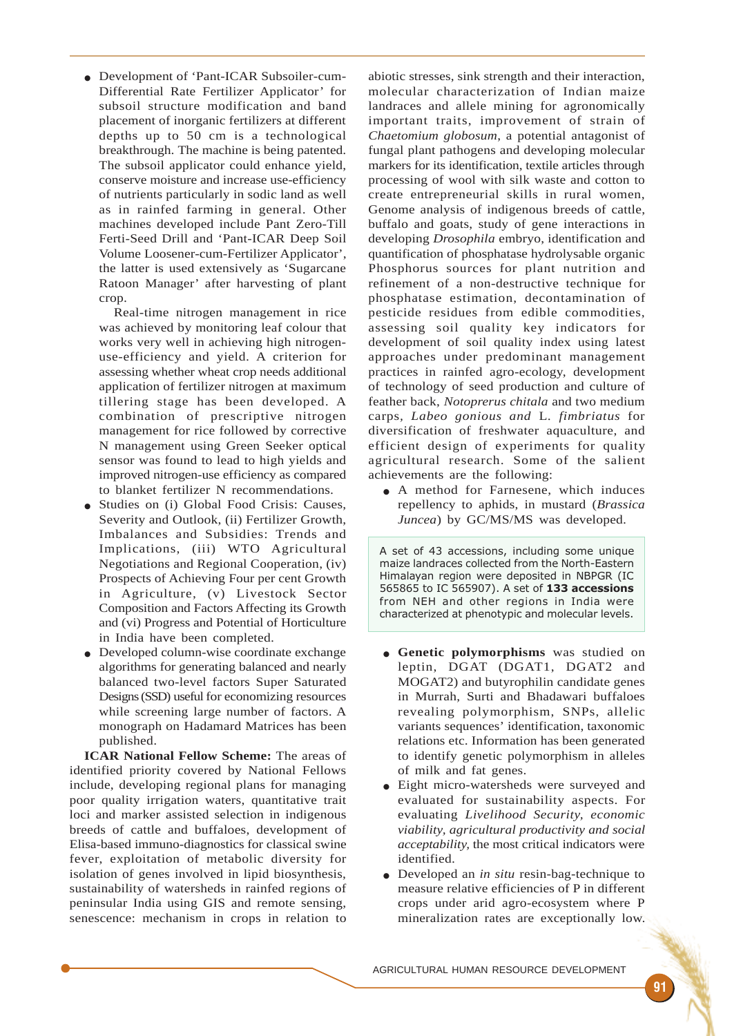● Development of 'Pant-ICAR Subsoiler-cum-Differential Rate Fertilizer Applicator' for subsoil structure modification and band placement of inorganic fertilizers at different depths up to 50 cm is a technological breakthrough. The machine is being patented. The subsoil applicator could enhance yield, conserve moisture and increase use-efficiency of nutrients particularly in sodic land as well as in rainfed farming in general. Other machines developed include Pant Zero-Till Ferti-Seed Drill and 'Pant-ICAR Deep Soil Volume Loosener-cum-Fertilizer Applicator', the latter is used extensively as 'Sugarcane Ratoon Manager' after harvesting of plant crop.

Real-time nitrogen management in rice was achieved by monitoring leaf colour that works very well in achieving high nitrogenuse-efficiency and yield. A criterion for assessing whether wheat crop needs additional application of fertilizer nitrogen at maximum tillering stage has been developed. A combination of prescriptive nitrogen management for rice followed by corrective N management using Green Seeker optical sensor was found to lead to high yields and improved nitrogen-use efficiency as compared to blanket fertilizer N recommendations.

- Studies on (i) Global Food Crisis: Causes, Severity and Outlook, (ii) Fertilizer Growth, Imbalances and Subsidies: Trends and Implications, (iii) WTO Agricultural Negotiations and Regional Cooperation, (iv) Prospects of Achieving Four per cent Growth in Agriculture, (v) Livestock Sector Composition and Factors Affecting its Growth and (vi) Progress and Potential of Horticulture in India have been completed.
- Developed column-wise coordinate exchange algorithms for generating balanced and nearly balanced two-level factors Super Saturated Designs (SSD) useful for economizing resources while screening large number of factors. A monograph on Hadamard Matrices has been published.

**ICAR National Fellow Scheme:** The areas of identified priority covered by National Fellows include, developing regional plans for managing poor quality irrigation waters, quantitative trait loci and marker assisted selection in indigenous breeds of cattle and buffaloes, development of Elisa-based immuno-diagnostics for classical swine fever, exploitation of metabolic diversity for isolation of genes involved in lipid biosynthesis, sustainability of watersheds in rainfed regions of peninsular India using GIS and remote sensing, senescence: mechanism in crops in relation to

abiotic stresses, sink strength and their interaction, molecular characterization of Indian maize landraces and allele mining for agronomically important traits, improvement of strain of *Chaetomium globosum*, a potential antagonist of fungal plant pathogens and developing molecular markers for its identification, textile articles through processing of wool with silk waste and cotton to create entrepreneurial skills in rural women, Genome analysis of indigenous breeds of cattle, buffalo and goats, study of gene interactions in developing *Drosophila* embryo, identification and quantification of phosphatase hydrolysable organic Phosphorus sources for plant nutrition and refinement of a non-destructive technique for phosphatase estimation, decontamination of pesticide residues from edible commodities, assessing soil quality key indicators for development of soil quality index using latest approaches under predominant management practices in rainfed agro-ecology, development of technology of seed production and culture of feather back, *Notoprerus chitala* and two medium carps*, Labeo gonious and* L*. fimbriatus* for diversification of freshwater aquaculture, and efficient design of experiments for quality agricultural research. Some of the salient achievements are the following:

● A method for Farnesene, which induces repellency to aphids, in mustard (*Brassica Juncea*) by GC/MS/MS was developed.

A set of 43 accessions, including some unique maize landraces collected from the North-Eastern Himalayan region were deposited in NBPGR (IC 565865 to IC 565907). A set of 133 accessions from NEH and other regions in India were characterized at phenotypic and molecular levels.

- **Genetic polymorphisms** was studied on leptin, DGAT (DGAT1, DGAT2 and MOGAT2) and butyrophilin candidate genes in Murrah, Surti and Bhadawari buffaloes revealing polymorphism, SNPs, allelic variants sequences' identification, taxonomic relations etc. Information has been generated to identify genetic polymorphism in alleles of milk and fat genes.
- Eight micro-watersheds were surveyed and evaluated for sustainability aspects. For evaluating *Livelihood Security, economic viability, agricultural productivity and social acceptability,* the most critical indicators were identified.
- Developed an *in situ* resin-bag-technique to measure relative efficiencies of P in different crops under arid agro-ecosystem where P mineralization rates are exceptionally low.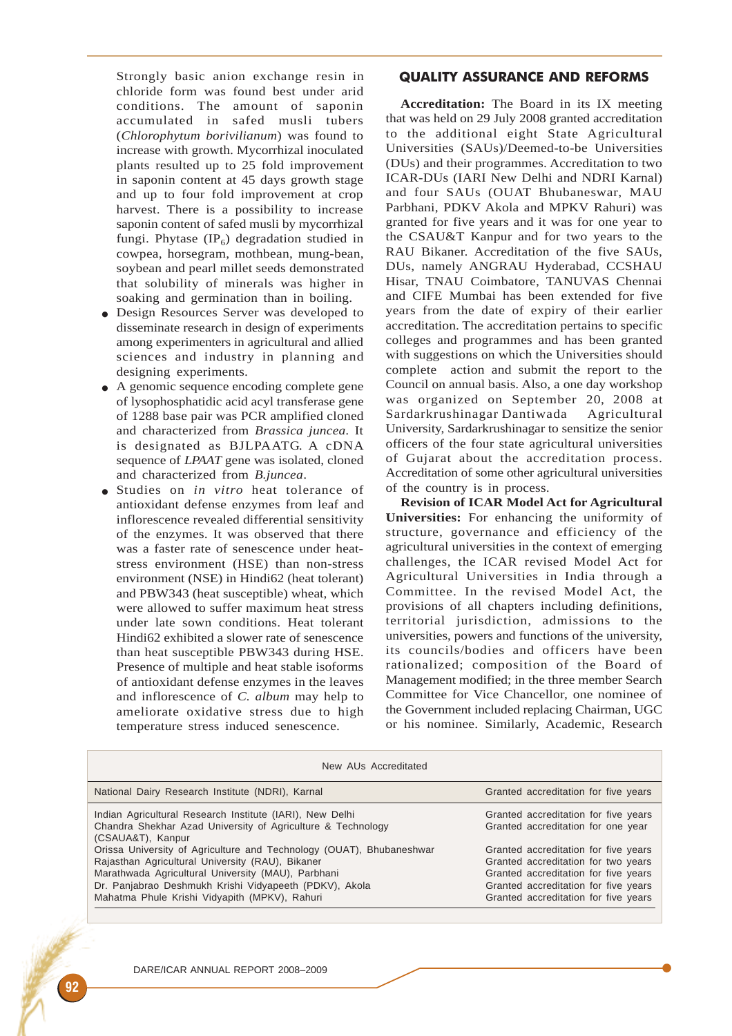Strongly basic anion exchange resin in chloride form was found best under arid conditions. The amount of saponin accumulated in safed musli tubers (*Chlorophytum borivilianum*) was found to increase with growth. Mycorrhizal inoculated plants resulted up to 25 fold improvement in saponin content at 45 days growth stage and up to four fold improvement at crop harvest. There is a possibility to increase saponin content of safed musli by mycorrhizal fungi. Phytase  $(\text{IP}_6)$  degradation studied in cowpea, horsegram, mothbean, mung-bean, soybean and pearl millet seeds demonstrated that solubility of minerals was higher in soaking and germination than in boiling.

- Design Resources Server was developed to disseminate research in design of experiments among experimenters in agricultural and allied sciences and industry in planning and designing experiments.
- A genomic sequence encoding complete gene of lysophosphatidic acid acyl transferase gene of 1288 base pair was PCR amplified cloned and characterized from *Brassica juncea*. It is designated as BJLPAATG. A cDNA sequence of *LPAAT* gene was isolated, cloned and characterized from *B.juncea*.
- Studies on *in vitro* heat tolerance of antioxidant defense enzymes from leaf and inflorescence revealed differential sensitivity of the enzymes. It was observed that there was a faster rate of senescence under heatstress environment (HSE) than non-stress environment (NSE) in Hindi62 (heat tolerant) and PBW343 (heat susceptible) wheat, which were allowed to suffer maximum heat stress under late sown conditions. Heat tolerant Hindi62 exhibited a slower rate of senescence than heat susceptible PBW343 during HSE. Presence of multiple and heat stable isoforms of antioxidant defense enzymes in the leaves and inflorescence of *C. album* may help to ameliorate oxidative stress due to high temperature stress induced senescence.

## QUALITY ASSURANCE AND REFORMS

**Accreditation:** The Board in its IX meeting that was held on 29 July 2008 granted accreditation to the additional eight State Agricultural Universities (SAUs)/Deemed-to-be Universities (DUs) and their programmes. Accreditation to two ICAR-DUs (IARI New Delhi and NDRI Karnal) and four SAUs (OUAT Bhubaneswar, MAU Parbhani, PDKV Akola and MPKV Rahuri) was granted for five years and it was for one year to the CSAU&T Kanpur and for two years to the RAU Bikaner. Accreditation of the five SAUs, DUs, namely ANGRAU Hyderabad, CCSHAU Hisar, TNAU Coimbatore, TANUVAS Chennai and CIFE Mumbai has been extended for five years from the date of expiry of their earlier accreditation. The accreditation pertains to specific colleges and programmes and has been granted with suggestions on which the Universities should complete action and submit the report to the Council on annual basis. Also, a one day workshop was organized on September 20, 2008 at Sardarkrushinagar Dantiwada Agricultural University, Sardarkrushinagar to sensitize the senior officers of the four state agricultural universities of Gujarat about the accreditation process. Accreditation of some other agricultural universities of the country is in process.

**Revision of ICAR Model Act for Agricultural Universities:** For enhancing the uniformity of structure, governance and efficiency of the agricultural universities in the context of emerging challenges, the ICAR revised Model Act for Agricultural Universities in India through a Committee. In the revised Model Act, the provisions of all chapters including definitions, territorial jurisdiction, admissions to the universities, powers and functions of the university, its councils/bodies and officers have been rationalized; composition of the Board of Management modified; in the three member Search Committee for Vice Chancellor, one nominee of the Government included replacing Chairman, UGC or his nominee. Similarly, Academic, Research

| New AUs Accreditated                                                                                                                                                                                                                                                                      |                                                                                                                                                                                                     |  |
|-------------------------------------------------------------------------------------------------------------------------------------------------------------------------------------------------------------------------------------------------------------------------------------------|-----------------------------------------------------------------------------------------------------------------------------------------------------------------------------------------------------|--|
| National Dairy Research Institute (NDRI), Karnal                                                                                                                                                                                                                                          | Granted accreditation for five years                                                                                                                                                                |  |
| Indian Agricultural Research Institute (IARI), New Delhi<br>Chandra Shekhar Azad University of Agriculture & Technology<br>(CSAUA&T), Kanpur                                                                                                                                              | Granted accreditation for five years<br>Granted accreditation for one year                                                                                                                          |  |
| Orissa University of Agriculture and Technology (OUAT), Bhubaneshwar<br>Rajasthan Agricultural University (RAU), Bikaner<br>Marathwada Agricultural University (MAU), Parbhani<br>Dr. Panjabrao Deshmukh Krishi Vidyapeeth (PDKV), Akola<br>Mahatma Phule Krishi Vidyapith (MPKV), Rahuri | Granted accreditation for five years<br>Granted accreditation for two years<br>Granted accreditation for five years<br>Granted accreditation for five years<br>Granted accreditation for five years |  |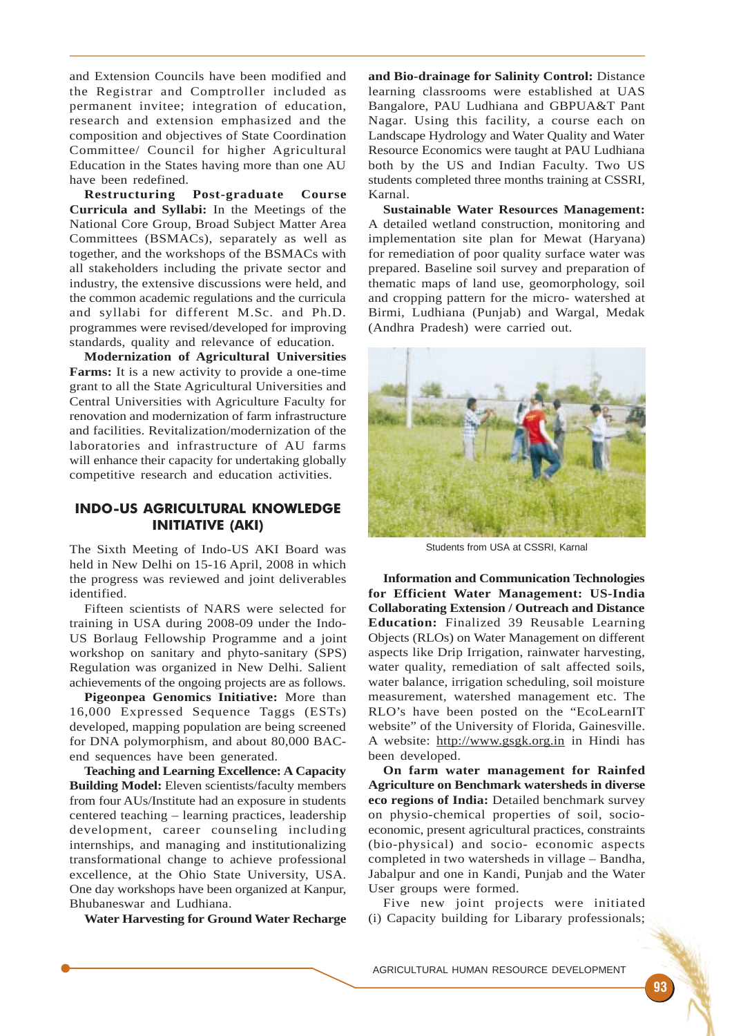and Extension Councils have been modified and the Registrar and Comptroller included as permanent invitee; integration of education, research and extension emphasized and the composition and objectives of State Coordination Committee/ Council for higher Agricultural Education in the States having more than one AU have been redefined.

**Restructuring Post-graduate Course Curricula and Syllabi:** In the Meetings of the National Core Group, Broad Subject Matter Area Committees (BSMACs), separately as well as together, and the workshops of the BSMACs with all stakeholders including the private sector and industry, the extensive discussions were held, and the common academic regulations and the curricula and syllabi for different M.Sc. and Ph.D. programmes were revised/developed for improving standards, quality and relevance of education.

**Modernization of Agricultural Universities Farms:** It is a new activity to provide a one-time grant to all the State Agricultural Universities and Central Universities with Agriculture Faculty for renovation and modernization of farm infrastructure and facilities. Revitalization/modernization of the laboratories and infrastructure of AU farms will enhance their capacity for undertaking globally competitive research and education activities.

# INDO-US AGRICULTURAL KNOWLEDGE INITIATIVE (AKI)

The Sixth Meeting of Indo-US AKI Board was held in New Delhi on 15-16 April, 2008 in which the progress was reviewed and joint deliverables identified.

Fifteen scientists of NARS were selected for training in USA during 2008-09 under the Indo-US Borlaug Fellowship Programme and a joint workshop on sanitary and phyto-sanitary (SPS) Regulation was organized in New Delhi. Salient achievements of the ongoing projects are as follows.

**Pigeonpea Genomics Initiative:** More than 16,000 Expressed Sequence Taggs (ESTs) developed, mapping population are being screened for DNA polymorphism, and about 80,000 BACend sequences have been generated.

**Teaching and Learning Excellence: A Capacity Building Model:** Eleven scientists/faculty members from four AUs/Institute had an exposure in students centered teaching – learning practices, leadership development, career counseling including internships, and managing and institutionalizing transformational change to achieve professional excellence, at the Ohio State University, USA. One day workshops have been organized at Kanpur, Bhubaneswar and Ludhiana.

**Water Harvesting for Ground Water Recharge**

**and Bio-drainage for Salinity Control:** Distance learning classrooms were established at UAS Bangalore, PAU Ludhiana and GBPUA&T Pant Nagar. Using this facility, a course each on Landscape Hydrology and Water Quality and Water Resource Economics were taught at PAU Ludhiana both by the US and Indian Faculty. Two US students completed three months training at CSSRI, Karnal.

**Sustainable Water Resources Management:** A detailed wetland construction, monitoring and implementation site plan for Mewat (Haryana) for remediation of poor quality surface water was prepared. Baseline soil survey and preparation of thematic maps of land use, geomorphology, soil and cropping pattern for the micro- watershed at Birmi, Ludhiana (Punjab) and Wargal, Medak (Andhra Pradesh) were carried out.



Students from USA at CSSRI, Karnal

**Information and Communication Technologies for Efficient Water Management: US-India Collaborating Extension / Outreach and Distance Education:** Finalized 39 Reusable Learning Objects (RLOs) on Water Management on different aspects like Drip Irrigation, rainwater harvesting, water quality, remediation of salt affected soils, water balance, irrigation scheduling, soil moisture measurement, watershed management etc. The RLO's have been posted on the "EcoLearnIT website" of the University of Florida, Gainesville. A website: http://www.gsgk.org.in in Hindi has been developed.

**On farm water management for Rainfed Agriculture on Benchmark watersheds in diverse eco regions of India:** Detailed benchmark survey on physio-chemical properties of soil, socioeconomic, present agricultural practices, constraints (bio-physical) and socio- economic aspects completed in two watersheds in village – Bandha, Jabalpur and one in Kandi, Punjab and the Water User groups were formed.

Five new joint projects were initiated (i) Capacity building for Libarary professionals;